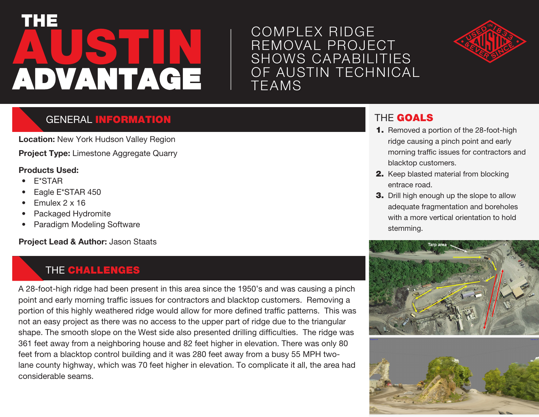# **AUSTIN** THE ADVANTAGE

## COMPLEX RIDGE REMOVAL PROJECT SHOWS CAPABILITIES OF AUSTIN TECHNICAL TEAMS



#### **GENERAL INFORMATION**

**Location:** New York Hudson Valley Region **Project Type:** Limestone Aggregate Quarry

#### **Products Used:**

- E\*STAR
- Eagle E\*STAR 450
- Emulex 2 x 16
- Packaged Hydromite
- Paradigm Modeling Software

**Project Lead & Author:** Jason Staats

#### THE CHALLENGES

A 28-foot-high ridge had been present in this area since the 1950's and was causing a pinch point and early morning traffic issues for contractors and blacktop customers. Removing a portion of this highly weathered ridge would allow for more defined traffic patterns. This was not an easy project as there was no access to the upper part of ridge due to the triangular shape. The smooth slope on the West side also presented drilling difficulties. The ridge was 361 feet away from a neighboring house and 82 feet higher in elevation. There was only 80 feet from a blacktop control building and it was 280 feet away from a busy 55 MPH twolane county highway, which was 70 feet higher in elevation. To complicate it all, the area had considerable seams.

#### THE GOALS

- 1. Removed a portion of the 28-foot-high ridge causing a pinch point and early morning traffic issues for contractors and blacktop customers.
- 2. Keep blasted material from blocking entrace road.
- **3.** Drill high enough up the slope to allow adequate fragmentation and boreholes with a more vertical orientation to hold stemming.